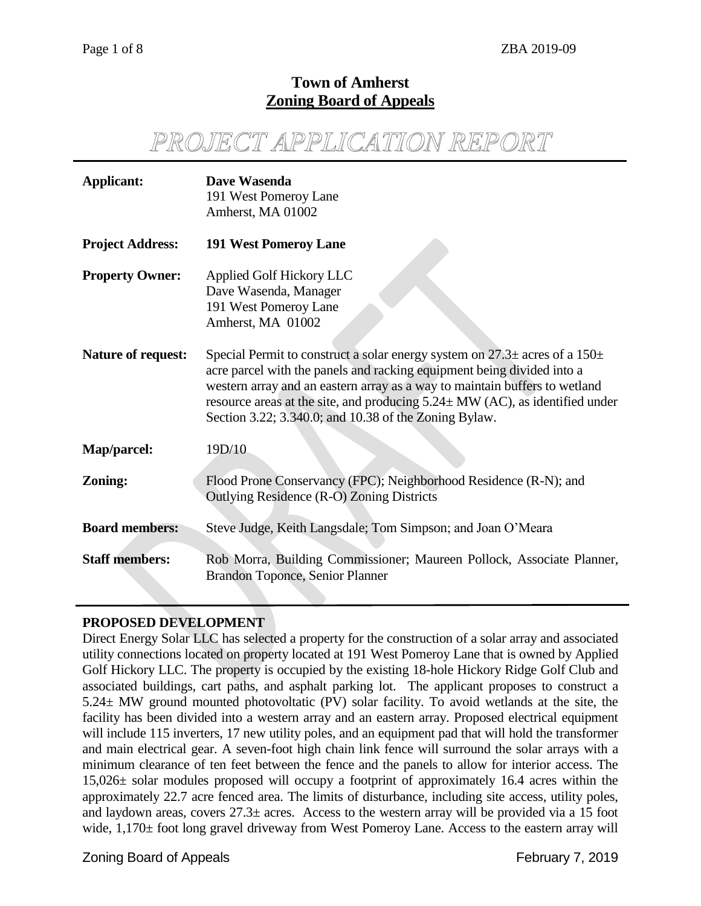# **Town of Amherst Zoning Board of Appeals**

# *PROJECT APPLICATION REPORT*

| <b>Applicant:</b>         | Dave Wasenda<br>191 West Pomeroy Lane<br>Amherst, MA 01002                                                                                                                                                                                                                                                                                                                               |
|---------------------------|------------------------------------------------------------------------------------------------------------------------------------------------------------------------------------------------------------------------------------------------------------------------------------------------------------------------------------------------------------------------------------------|
| <b>Project Address:</b>   | <b>191 West Pomeroy Lane</b>                                                                                                                                                                                                                                                                                                                                                             |
| <b>Property Owner:</b>    | <b>Applied Golf Hickory LLC</b><br>Dave Wasenda, Manager<br>191 West Pomeroy Lane<br>Amherst, MA 01002                                                                                                                                                                                                                                                                                   |
| <b>Nature of request:</b> | Special Permit to construct a solar energy system on $27.3\pm$ acres of a $150\pm$<br>acre parcel with the panels and racking equipment being divided into a<br>western array and an eastern array as a way to maintain buffers to wetland<br>resource areas at the site, and producing $5.24 \pm MW$ (AC), as identified under<br>Section 3.22; 3.340.0; and 10.38 of the Zoning Bylaw. |
| Map/parcel:               | 19D/10                                                                                                                                                                                                                                                                                                                                                                                   |
| Zoning:                   | Flood Prone Conservancy (FPC); Neighborhood Residence (R-N); and<br>Outlying Residence (R-O) Zoning Districts                                                                                                                                                                                                                                                                            |
| <b>Board members:</b>     | Steve Judge, Keith Langsdale; Tom Simpson; and Joan O'Meara                                                                                                                                                                                                                                                                                                                              |
| <b>Staff members:</b>     | Rob Morra, Building Commissioner; Maureen Pollock, Associate Planner,<br>Brandon Toponce, Senior Planner                                                                                                                                                                                                                                                                                 |

# **PROPOSED DEVELOPMENT**

Direct Energy Solar LLC has selected a property for the construction of a solar array and associated utility connections located on property located at 191 West Pomeroy Lane that is owned by Applied Golf Hickory LLC. The property is occupied by the existing 18-hole Hickory Ridge Golf Club and associated buildings, cart paths, and asphalt parking lot. The applicant proposes to construct a 5.24± MW ground mounted photovoltatic (PV) solar facility. To avoid wetlands at the site, the facility has been divided into a western array and an eastern array. Proposed electrical equipment will include 115 inverters, 17 new utility poles, and an equipment pad that will hold the transformer and main electrical gear. A seven-foot high chain link fence will surround the solar arrays with a minimum clearance of ten feet between the fence and the panels to allow for interior access. The 15,026± solar modules proposed will occupy a footprint of approximately 16.4 acres within the approximately 22.7 acre fenced area. The limits of disturbance, including site access, utility poles, and laydown areas, covers  $27.3\pm$  acres. Access to the western array will be provided via a 15 foot wide, 1,170± foot long gravel driveway from West Pomeroy Lane. Access to the eastern array will

Zoning Board of Appeals February 7, 2019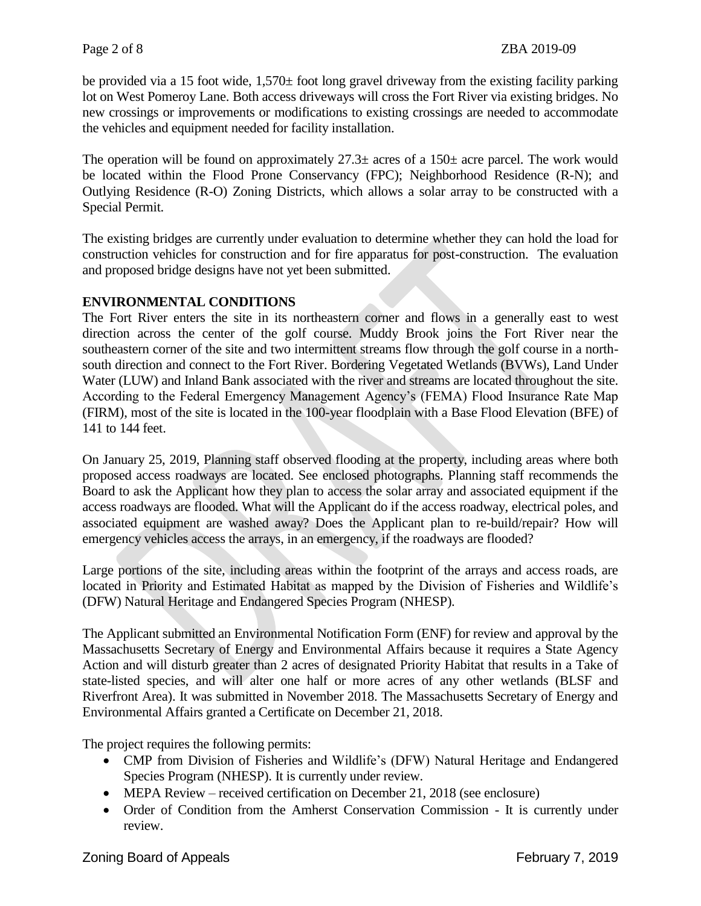be provided via a 15 foot wide, 1,570± foot long gravel driveway from the existing facility parking lot on West Pomeroy Lane. Both access driveways will cross the Fort River via existing bridges. No new crossings or improvements or modifications to existing crossings are needed to accommodate the vehicles and equipment needed for facility installation.

The operation will be found on approximately  $27.3\pm$  acres of a 150 $\pm$  acre parcel. The work would be located within the Flood Prone Conservancy (FPC); Neighborhood Residence (R-N); and Outlying Residence (R-O) Zoning Districts, which allows a solar array to be constructed with a Special Permit.

The existing bridges are currently under evaluation to determine whether they can hold the load for construction vehicles for construction and for fire apparatus for post-construction. The evaluation and proposed bridge designs have not yet been submitted.

# **ENVIRONMENTAL CONDITIONS**

The Fort River enters the site in its northeastern corner and flows in a generally east to west direction across the center of the golf course. Muddy Brook joins the Fort River near the southeastern corner of the site and two intermittent streams flow through the golf course in a northsouth direction and connect to the Fort River. Bordering Vegetated Wetlands (BVWs), Land Under Water (LUW) and Inland Bank associated with the river and streams are located throughout the site. According to the Federal Emergency Management Agency's (FEMA) Flood Insurance Rate Map (FIRM), most of the site is located in the 100-year floodplain with a Base Flood Elevation (BFE) of 141 to 144 feet.

On January 25, 2019, Planning staff observed flooding at the property, including areas where both proposed access roadways are located. See enclosed photographs. Planning staff recommends the Board to ask the Applicant how they plan to access the solar array and associated equipment if the access roadways are flooded. What will the Applicant do if the access roadway, electrical poles, and associated equipment are washed away? Does the Applicant plan to re-build/repair? How will emergency vehicles access the arrays, in an emergency, if the roadways are flooded?

Large portions of the site, including areas within the footprint of the arrays and access roads, are located in Priority and Estimated Habitat as mapped by the Division of Fisheries and Wildlife's (DFW) Natural Heritage and Endangered Species Program (NHESP).

The Applicant submitted an Environmental Notification Form (ENF) for review and approval by the Massachusetts Secretary of Energy and Environmental Affairs because it requires a State Agency Action and will disturb greater than 2 acres of designated Priority Habitat that results in a Take of state-listed species, and will alter one half or more acres of any other wetlands (BLSF and Riverfront Area). It was submitted in November 2018. The Massachusetts Secretary of Energy and Environmental Affairs granted a Certificate on December 21, 2018.

The project requires the following permits:

- CMP from Division of Fisheries and Wildlife's (DFW) Natural Heritage and Endangered Species Program (NHESP). It is currently under review.
- MEPA Review received certification on December 21, 2018 (see enclosure)
- Order of Condition from the Amherst Conservation Commission It is currently under review.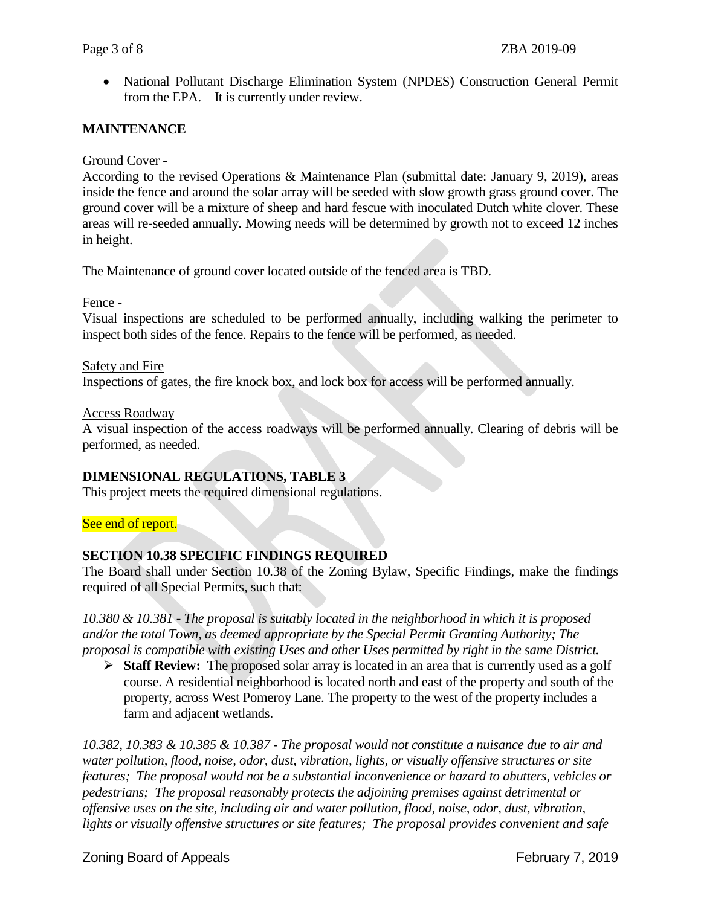National Pollutant Discharge Elimination System (NPDES) Construction General Permit from the EPA. – It is currently under review.

## **MAINTENANCE**

#### Ground Cover -

According to the revised Operations & Maintenance Plan (submittal date: January 9, 2019), areas inside the fence and around the solar array will be seeded with slow growth grass ground cover. The ground cover will be a mixture of sheep and hard fescue with inoculated Dutch white clover. These areas will re-seeded annually. Mowing needs will be determined by growth not to exceed 12 inches in height.

The Maintenance of ground cover located outside of the fenced area is TBD.

#### Fence -

Visual inspections are scheduled to be performed annually, including walking the perimeter to inspect both sides of the fence. Repairs to the fence will be performed, as needed.

#### Safety and Fire –

Inspections of gates, the fire knock box, and lock box for access will be performed annually.

#### Access Roadway –

A visual inspection of the access roadways will be performed annually. Clearing of debris will be performed, as needed.

## **DIMENSIONAL REGULATIONS, TABLE 3**

This project meets the required dimensional regulations.

#### See end of report.

## **SECTION 10.38 SPECIFIC FINDINGS REQUIRED**

The Board shall under Section 10.38 of the Zoning Bylaw, Specific Findings, make the findings required of all Special Permits, such that:

*10.380 & 10.381 - The proposal is suitably located in the neighborhood in which it is proposed and/or the total Town, as deemed appropriate by the Special Permit Granting Authority; The proposal is compatible with existing Uses and other Uses permitted by right in the same District.* 

 **Staff Review:** The proposed solar array is located in an area that is currently used as a golf course. A residential neighborhood is located north and east of the property and south of the property, across West Pomeroy Lane. The property to the west of the property includes a farm and adjacent wetlands.

*10.382, 10.383 & 10.385 & 10.387 - The proposal would not constitute a nuisance due to air and water pollution, flood, noise, odor, dust, vibration, lights, or visually offensive structures or site features; The proposal would not be a substantial inconvenience or hazard to abutters, vehicles or pedestrians; The proposal reasonably protects the adjoining premises against detrimental or offensive uses on the site, including air and water pollution, flood, noise, odor, dust, vibration, lights or visually offensive structures or site features; The proposal provides convenient and safe*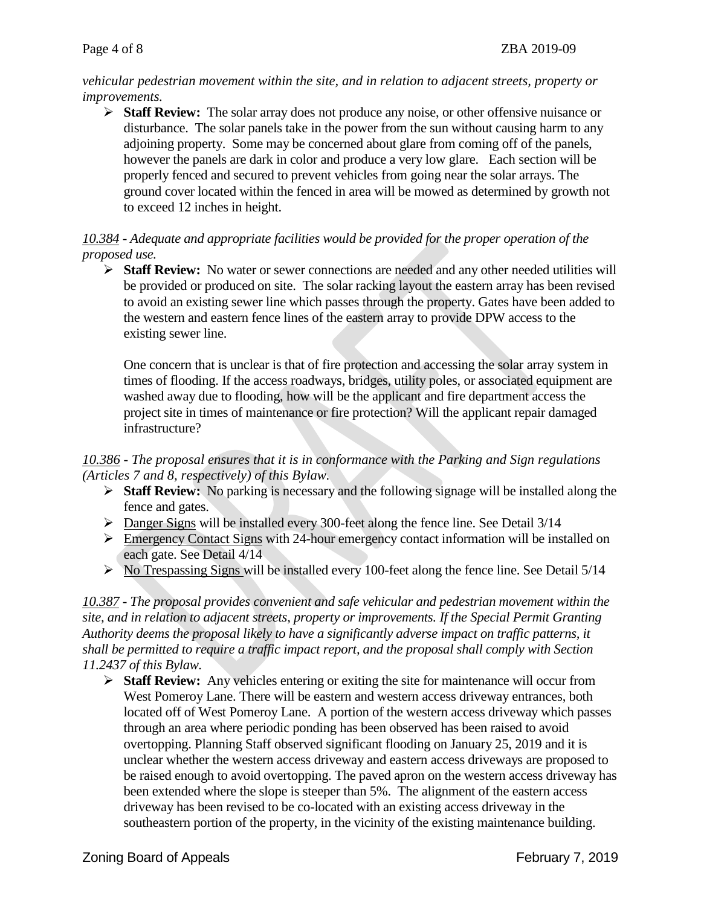*vehicular pedestrian movement within the site, and in relation to adjacent streets, property or improvements.*

 **Staff Review:** The solar array does not produce any noise, or other offensive nuisance or disturbance. The solar panels take in the power from the sun without causing harm to any adjoining property. Some may be concerned about glare from coming off of the panels, however the panels are dark in color and produce a very low glare. Each section will be properly fenced and secured to prevent vehicles from going near the solar arrays. The ground cover located within the fenced in area will be mowed as determined by growth not to exceed 12 inches in height.

# *10.384 - Adequate and appropriate facilities would be provided for the proper operation of the proposed use.*

 **Staff Review:** No water or sewer connections are needed and any other needed utilities will be provided or produced on site. The solar racking layout the eastern array has been revised to avoid an existing sewer line which passes through the property. Gates have been added to the western and eastern fence lines of the eastern array to provide DPW access to the existing sewer line.

One concern that is unclear is that of fire protection and accessing the solar array system in times of flooding. If the access roadways, bridges, utility poles, or associated equipment are washed away due to flooding, how will be the applicant and fire department access the project site in times of maintenance or fire protection? Will the applicant repair damaged infrastructure?

## *10.386 - The proposal ensures that it is in conformance with the Parking and Sign regulations (Articles 7 and 8, respectively) of this Bylaw.*

- **Staff Review:** No parking is necessary and the following signage will be installed along the fence and gates.
- Danger Signs will be installed every 300-feet along the fence line. See Detail 3/14
- **Emergency Contact Signs with 24-hour emergency contact information will be installed on** each gate. See Detail 4/14
- $\triangleright$  No Trespassing Signs will be installed every 100-feet along the fence line. See Detail 5/14

*10.387 - The proposal provides convenient and safe vehicular and pedestrian movement within the site, and in relation to adjacent streets, property or improvements. If the Special Permit Granting Authority deems the proposal likely to have a significantly adverse impact on traffic patterns, it shall be permitted to require a traffic impact report, and the proposal shall comply with Section 11.2437 of this Bylaw.* 

 **Staff Review:** Any vehicles entering or exiting the site for maintenance will occur from West Pomeroy Lane. There will be eastern and western access driveway entrances, both located off of West Pomeroy Lane. A portion of the western access driveway which passes through an area where periodic ponding has been observed has been raised to avoid overtopping. Planning Staff observed significant flooding on January 25, 2019 and it is unclear whether the western access driveway and eastern access driveways are proposed to be raised enough to avoid overtopping. The paved apron on the western access driveway has been extended where the slope is steeper than 5%. The alignment of the eastern access driveway has been revised to be co-located with an existing access driveway in the southeastern portion of the property, in the vicinity of the existing maintenance building.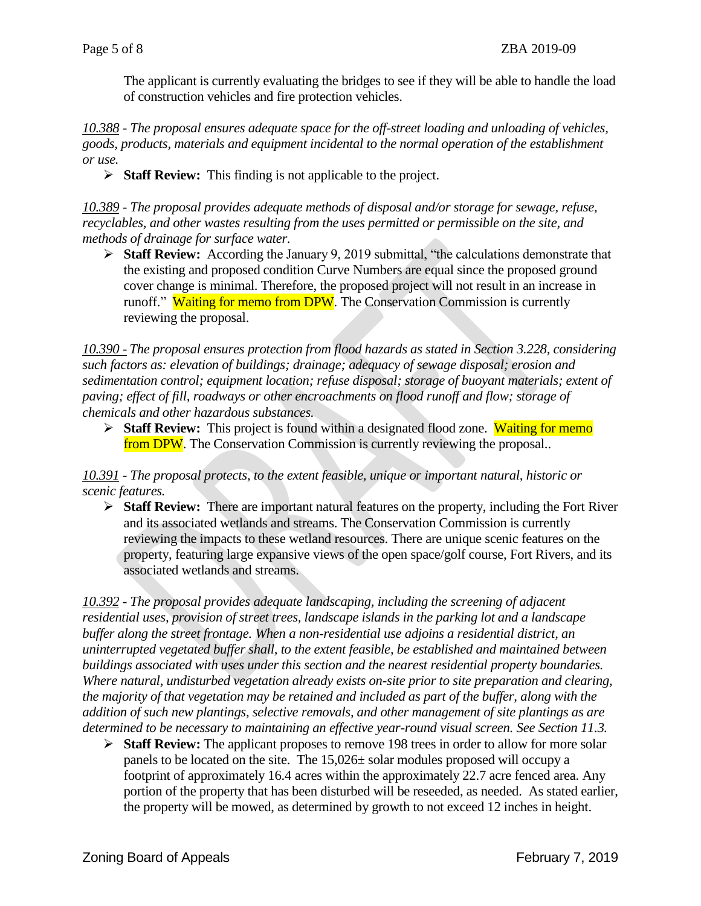The applicant is currently evaluating the bridges to see if they will be able to handle the load of construction vehicles and fire protection vehicles.

*10.388 - The proposal ensures adequate space for the off-street loading and unloading of vehicles, goods, products, materials and equipment incidental to the normal operation of the establishment or use.*

**Staff Review:** This finding is not applicable to the project.

*10.389 - The proposal provides adequate methods of disposal and/or storage for sewage, refuse, recyclables, and other wastes resulting from the uses permitted or permissible on the site, and methods of drainage for surface water.*

 **Staff Review:** According the January 9, 2019 submittal, "the calculations demonstrate that the existing and proposed condition Curve Numbers are equal since the proposed ground cover change is minimal. Therefore, the proposed project will not result in an increase in runoff." Waiting for memo from DPW. The Conservation Commission is currently reviewing the proposal.

*10.390 - The proposal ensures protection from flood hazards as stated in Section 3.228, considering such factors as: elevation of buildings; drainage; adequacy of sewage disposal; erosion and sedimentation control; equipment location; refuse disposal; storage of buoyant materials; extent of paving; effect of fill, roadways or other encroachments on flood runoff and flow; storage of chemicals and other hazardous substances.*

**Staff Review:** This project is found within a designated flood zone. Waiting for memo from DPW. The Conservation Commission is currently reviewing the proposal..

*10.391 - The proposal protects, to the extent feasible, unique or important natural, historic or scenic features.* 

 **Staff Review:** There are important natural features on the property, including the Fort River and its associated wetlands and streams. The Conservation Commission is currently reviewing the impacts to these wetland resources. There are unique scenic features on the property, featuring large expansive views of the open space/golf course, Fort Rivers, and its associated wetlands and streams.

*10.392 - The proposal provides adequate landscaping, including the screening of adjacent residential uses, provision of street trees, landscape islands in the parking lot and a landscape buffer along the street frontage. When a non-residential use adjoins a residential district, an uninterrupted vegetated buffer shall, to the extent feasible, be established and maintained between buildings associated with uses under this section and the nearest residential property boundaries. Where natural, undisturbed vegetation already exists on-site prior to site preparation and clearing, the majority of that vegetation may be retained and included as part of the buffer, along with the addition of such new plantings, selective removals, and other management of site plantings as are determined to be necessary to maintaining an effective year-round visual screen. See Section 11.3.*

 **Staff Review:** The applicant proposes to remove 198 trees in order to allow for more solar panels to be located on the site. The 15,026± solar modules proposed will occupy a footprint of approximately 16.4 acres within the approximately 22.7 acre fenced area. Any portion of the property that has been disturbed will be reseeded, as needed. As stated earlier, the property will be mowed, as determined by growth to not exceed 12 inches in height.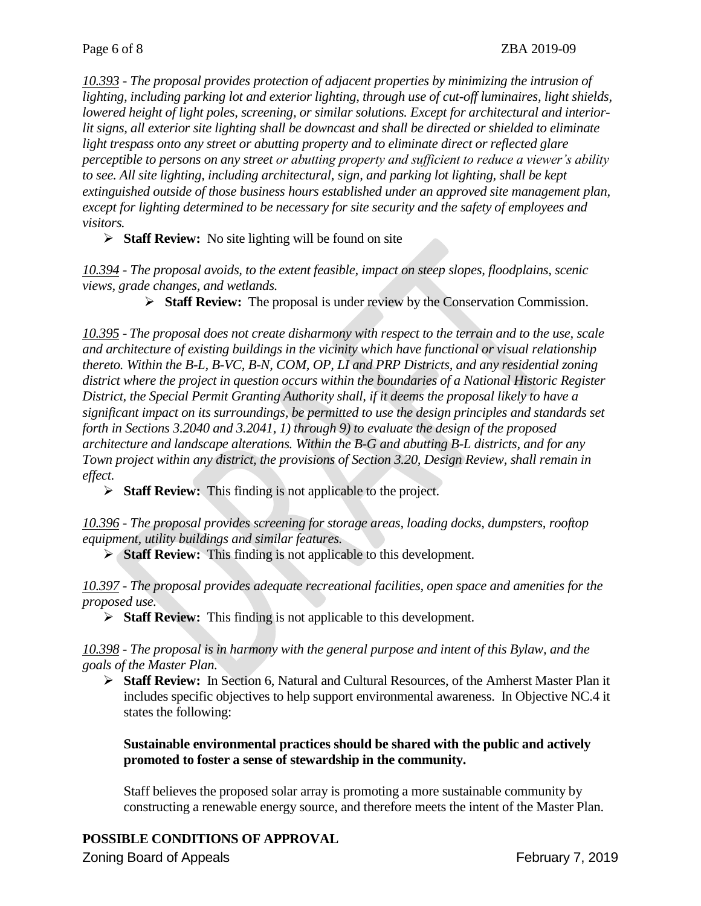*10.393 - The proposal provides protection of adjacent properties by minimizing the intrusion of lighting, including parking lot and exterior lighting, through use of cut-off luminaires, light shields, lowered height of light poles, screening, or similar solutions. Except for architectural and interiorlit signs, all exterior site lighting shall be downcast and shall be directed or shielded to eliminate light trespass onto any street or abutting property and to eliminate direct or reflected glare perceptible to persons on any street or abutting property and sufficient to reduce a viewer's ability to see. All site lighting, including architectural, sign, and parking lot lighting, shall be kept extinguished outside of those business hours established under an approved site management plan, except for lighting determined to be necessary for site security and the safety of employees and visitors.*

**Staff Review:** No site lighting will be found on site

*10.394 - The proposal avoids, to the extent feasible, impact on steep slopes, floodplains, scenic views, grade changes, and wetlands.*

**Staff Review:** The proposal is under review by the Conservation Commission.

*10.395 - The proposal does not create disharmony with respect to the terrain and to the use, scale and architecture of existing buildings in the vicinity which have functional or visual relationship thereto. Within the B-L, B-VC, B-N, COM, OP, LI and PRP Districts, and any residential zoning district where the project in question occurs within the boundaries of a National Historic Register District, the Special Permit Granting Authority shall, if it deems the proposal likely to have a significant impact on its surroundings, be permitted to use the design principles and standards set forth in Sections 3.2040 and 3.2041, 1) through 9) to evaluate the design of the proposed architecture and landscape alterations. Within the B-G and abutting B-L districts, and for any Town project within any district, the provisions of Section 3.20, Design Review, shall remain in effect.*

**Staff Review:** This finding is not applicable to the project.

*10.396 - The proposal provides screening for storage areas, loading docks, dumpsters, rooftop equipment, utility buildings and similar features.* 

**Staff Review:** This finding is not applicable to this development.

*10.397 - The proposal provides adequate recreational facilities, open space and amenities for the proposed use.*

**Staff Review:** This finding is not applicable to this development.

*10.398 - The proposal is in harmony with the general purpose and intent of this Bylaw, and the goals of the Master Plan.*

 **Staff Review:** In Section 6, Natural and Cultural Resources, of the Amherst Master Plan it includes specific objectives to help support environmental awareness. In Objective NC.4 it states the following:

**Sustainable environmental practices should be shared with the public and actively promoted to foster a sense of stewardship in the community.**

Staff believes the proposed solar array is promoting a more sustainable community by constructing a renewable energy source, and therefore meets the intent of the Master Plan.

# **POSSIBLE CONDITIONS OF APPROVAL**

Zoning Board of Appeals February 7, 2019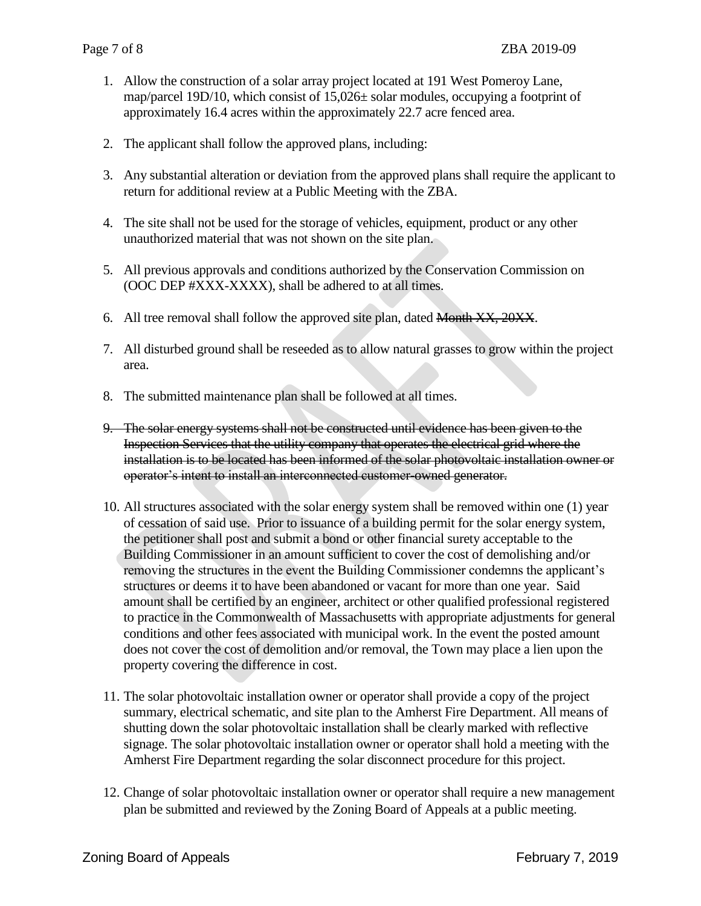- 1. Allow the construction of a solar array project located at 191 West Pomeroy Lane, map/parcel 19D/10, which consist of  $15,026\pm$  solar modules, occupying a footprint of approximately 16.4 acres within the approximately 22.7 acre fenced area.
- 2. The applicant shall follow the approved plans, including:
- 3. Any substantial alteration or deviation from the approved plans shall require the applicant to return for additional review at a Public Meeting with the ZBA.
- 4. The site shall not be used for the storage of vehicles, equipment, product or any other unauthorized material that was not shown on the site plan.
- 5. All previous approvals and conditions authorized by the Conservation Commission on (OOC DEP #XXX-XXXX), shall be adhered to at all times.
- 6. All tree removal shall follow the approved site plan, dated  $M$  on  $\cancel{X}$ ,  $20X$ .
- 7. All disturbed ground shall be reseeded as to allow natural grasses to grow within the project area.
- 8. The submitted maintenance plan shall be followed at all times.
- 9. The solar energy systems shall not be constructed until evidence has been given to the Inspection Services that the utility company that operates the electrical grid where the installation is to be located has been informed of the solar photovoltaic installation owner or operator's intent to install an interconnected customer-owned generator.
- 10. All structures associated with the solar energy system shall be removed within one (1) year of cessation of said use. Prior to issuance of a building permit for the solar energy system, the petitioner shall post and submit a bond or other financial surety acceptable to the Building Commissioner in an amount sufficient to cover the cost of demolishing and/or removing the structures in the event the Building Commissioner condemns the applicant's structures or deems it to have been abandoned or vacant for more than one year. Said amount shall be certified by an engineer, architect or other qualified professional registered to practice in the Commonwealth of Massachusetts with appropriate adjustments for general conditions and other fees associated with municipal work. In the event the posted amount does not cover the cost of demolition and/or removal, the Town may place a lien upon the property covering the difference in cost.
- 11. The solar photovoltaic installation owner or operator shall provide a copy of the project summary, electrical schematic, and site plan to the Amherst Fire Department. All means of shutting down the solar photovoltaic installation shall be clearly marked with reflective signage. The solar photovoltaic installation owner or operator shall hold a meeting with the Amherst Fire Department regarding the solar disconnect procedure for this project.
- 12. Change of solar photovoltaic installation owner or operator shall require a new management plan be submitted and reviewed by the Zoning Board of Appeals at a public meeting.